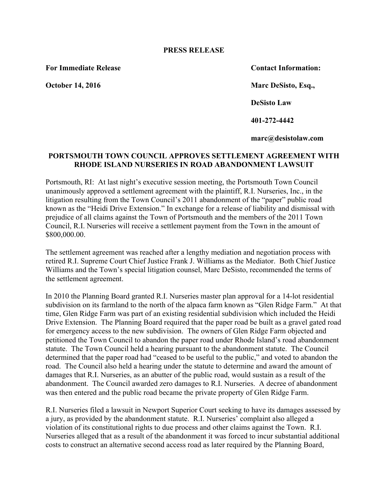## **PRESS RELEASE**

**For Immediate Release Contact Information:**

**October 14, 2016 Marc DeSisto, Esq., DeSisto Law 401-272-4442**

**marc@desistolaw.com**

## **PORTSMOUTH TOWN COUNCIL APPROVES SETTLEMENT AGREEMENT WITH RHODE ISLAND NURSERIES IN ROAD ABANDONMENT LAWSUIT**

Portsmouth, RI: At last night's executive session meeting, the Portsmouth Town Council unanimously approved a settlement agreement with the plaintiff, R.I. Nurseries, Inc., in the litigation resulting from the Town Council's 2011 abandonment of the "paper" public road known as the "Heidi Drive Extension." In exchange for a release of liability and dismissal with prejudice of all claims against the Town of Portsmouth and the members of the 2011 Town Council, R.I. Nurseries will receive a settlement payment from the Town in the amount of \$800,000.00.

The settlement agreement was reached after a lengthy mediation and negotiation process with retired R.I. Supreme Court Chief Justice Frank J. Williams as the Mediator. Both Chief Justice Williams and the Town's special litigation counsel, Marc DeSisto, recommended the terms of the settlement agreement.

In 2010 the Planning Board granted R.I. Nurseries master plan approval for a 14-lot residential subdivision on its farmland to the north of the alpaca farm known as "Glen Ridge Farm." At that time, Glen Ridge Farm was part of an existing residential subdivision which included the Heidi Drive Extension. The Planning Board required that the paper road be built as a gravel gated road for emergency access to the new subdivision. The owners of Glen Ridge Farm objected and petitioned the Town Council to abandon the paper road under Rhode Island's road abandonment statute. The Town Council held a hearing pursuant to the abandonment statute. The Council determined that the paper road had "ceased to be useful to the public," and voted to abandon the road. The Council also held a hearing under the statute to determine and award the amount of damages that R.I. Nurseries, as an abutter of the public road, would sustain as a result of the abandonment. The Council awarded zero damages to R.I. Nurseries. A decree of abandonment was then entered and the public road became the private property of Glen Ridge Farm.

R.I. Nurseries filed a lawsuit in Newport Superior Court seeking to have its damages assessed by a jury, as provided by the abandonment statute. R.I. Nurseries' complaint also alleged a violation of its constitutional rights to due process and other claims against the Town. R.I. Nurseries alleged that as a result of the abandonment it was forced to incur substantial additional costs to construct an alternative second access road as later required by the Planning Board,